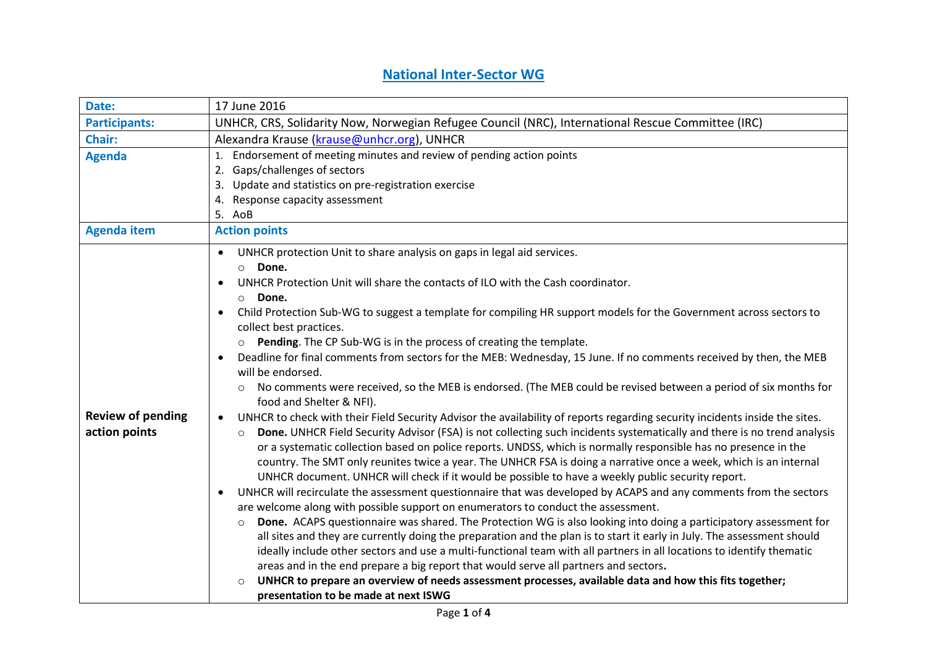## **National Inter-Sector WG**

| Date:                    | 17 June 2016                                                                                                                                         |
|--------------------------|------------------------------------------------------------------------------------------------------------------------------------------------------|
| <b>Participants:</b>     | UNHCR, CRS, Solidarity Now, Norwegian Refugee Council (NRC), International Rescue Committee (IRC)                                                    |
| Chair:                   | Alexandra Krause (krause@unhcr.org), UNHCR                                                                                                           |
| <b>Agenda</b>            | Endorsement of meeting minutes and review of pending action points<br>1.                                                                             |
|                          | 2. Gaps/challenges of sectors                                                                                                                        |
|                          | Update and statistics on pre-registration exercise<br>3.                                                                                             |
|                          | Response capacity assessment<br>4.                                                                                                                   |
|                          | 5. AoB                                                                                                                                               |
| <b>Agenda item</b>       | <b>Action points</b>                                                                                                                                 |
|                          | UNHCR protection Unit to share analysis on gaps in legal aid services.<br>$\bullet$                                                                  |
|                          | o Done.                                                                                                                                              |
|                          | UNHCR Protection Unit will share the contacts of ILO with the Cash coordinator.<br>$\bullet$                                                         |
|                          | Done.<br>$\circ$                                                                                                                                     |
|                          | Child Protection Sub-WG to suggest a template for compiling HR support models for the Government across sectors to                                   |
|                          | collect best practices.                                                                                                                              |
|                          | Pending. The CP Sub-WG is in the process of creating the template.<br>$\circ$                                                                        |
|                          | Deadline for final comments from sectors for the MEB: Wednesday, 15 June. If no comments received by then, the MEB<br>$\bullet$<br>will be endorsed. |
|                          | No comments were received, so the MEB is endorsed. (The MEB could be revised between a period of six months for<br>$\circ$                           |
|                          | food and Shelter & NFI).                                                                                                                             |
| <b>Review of pending</b> | UNHCR to check with their Field Security Advisor the availability of reports regarding security incidents inside the sites.                          |
| action points            | Done. UNHCR Field Security Advisor (FSA) is not collecting such incidents systematically and there is no trend analysis<br>$\circ$                   |
|                          | or a systematic collection based on police reports. UNDSS, which is normally responsible has no presence in the                                      |
|                          | country. The SMT only reunites twice a year. The UNHCR FSA is doing a narrative once a week, which is an internal                                    |
|                          | UNHCR document. UNHCR will check if it would be possible to have a weekly public security report.                                                    |
|                          | UNHCR will recirculate the assessment questionnaire that was developed by ACAPS and any comments from the sectors<br>$\bullet$                       |
|                          | are welcome along with possible support on enumerators to conduct the assessment.                                                                    |
|                          | Done. ACAPS questionnaire was shared. The Protection WG is also looking into doing a participatory assessment for<br>$\circ$                         |
|                          | all sites and they are currently doing the preparation and the plan is to start it early in July. The assessment should                              |
|                          | ideally include other sectors and use a multi-functional team with all partners in all locations to identify thematic                                |
|                          | areas and in the end prepare a big report that would serve all partners and sectors.                                                                 |
|                          | UNHCR to prepare an overview of needs assessment processes, available data and how this fits together;<br>$\circ$                                    |
|                          | presentation to be made at next ISWG                                                                                                                 |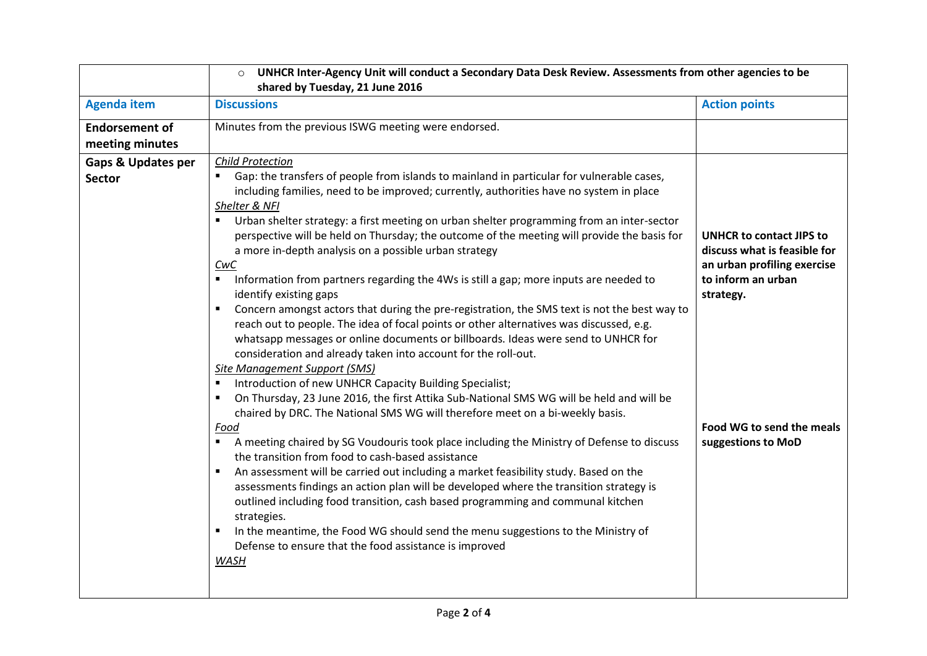| UNHCR Inter-Agency Unit will conduct a Secondary Data Desk Review. Assessments from other agencies to be                                                                                                                                                                                                                                                                                                                                                                                                                                                                                                                                                                                                                                                                                                                                                                                                                                                                                                                                                                                                                                                                                                                                                                                                                                                                                                                                      |                                                                                                                                                                                      |  |
|-----------------------------------------------------------------------------------------------------------------------------------------------------------------------------------------------------------------------------------------------------------------------------------------------------------------------------------------------------------------------------------------------------------------------------------------------------------------------------------------------------------------------------------------------------------------------------------------------------------------------------------------------------------------------------------------------------------------------------------------------------------------------------------------------------------------------------------------------------------------------------------------------------------------------------------------------------------------------------------------------------------------------------------------------------------------------------------------------------------------------------------------------------------------------------------------------------------------------------------------------------------------------------------------------------------------------------------------------------------------------------------------------------------------------------------------------|--------------------------------------------------------------------------------------------------------------------------------------------------------------------------------------|--|
| shared by Tuesday, 21 June 2016                                                                                                                                                                                                                                                                                                                                                                                                                                                                                                                                                                                                                                                                                                                                                                                                                                                                                                                                                                                                                                                                                                                                                                                                                                                                                                                                                                                                               |                                                                                                                                                                                      |  |
| <b>Discussions</b>                                                                                                                                                                                                                                                                                                                                                                                                                                                                                                                                                                                                                                                                                                                                                                                                                                                                                                                                                                                                                                                                                                                                                                                                                                                                                                                                                                                                                            | <b>Action points</b>                                                                                                                                                                 |  |
| Minutes from the previous ISWG meeting were endorsed.                                                                                                                                                                                                                                                                                                                                                                                                                                                                                                                                                                                                                                                                                                                                                                                                                                                                                                                                                                                                                                                                                                                                                                                                                                                                                                                                                                                         |                                                                                                                                                                                      |  |
|                                                                                                                                                                                                                                                                                                                                                                                                                                                                                                                                                                                                                                                                                                                                                                                                                                                                                                                                                                                                                                                                                                                                                                                                                                                                                                                                                                                                                                               |                                                                                                                                                                                      |  |
| <b>Child Protection</b><br>Gap: the transfers of people from islands to mainland in particular for vulnerable cases,<br>including families, need to be improved; currently, authorities have no system in place<br>Shelter & NFI<br>Urban shelter strategy: a first meeting on urban shelter programming from an inter-sector<br>perspective will be held on Thursday; the outcome of the meeting will provide the basis for<br>a more in-depth analysis on a possible urban strategy<br>CwC<br>Information from partners regarding the 4Ws is still a gap; more inputs are needed to<br>$\blacksquare$<br>identify existing gaps<br>Concern amongst actors that during the pre-registration, the SMS text is not the best way to<br>reach out to people. The idea of focal points or other alternatives was discussed, e.g.<br>whatsapp messages or online documents or billboards. Ideas were send to UNHCR for<br>consideration and already taken into account for the roll-out.<br>Site Management Support (SMS)<br>Introduction of new UNHCR Capacity Building Specialist;<br>On Thursday, 23 June 2016, the first Attika Sub-National SMS WG will be held and will be<br>٠<br>chaired by DRC. The National SMS WG will therefore meet on a bi-weekly basis.<br>Food<br>A meeting chaired by SG Voudouris took place including the Ministry of Defense to discuss<br>$\blacksquare$<br>the transition from food to cash-based assistance | <b>UNHCR to contact JIPS to</b><br>discuss what is feasible for<br>an urban profiling exercise<br>to inform an urban<br>strategy.<br>Food WG to send the meals<br>suggestions to MoD |  |
| assessments findings an action plan will be developed where the transition strategy is<br>outlined including food transition, cash based programming and communal kitchen<br>strategies.<br>In the meantime, the Food WG should send the menu suggestions to the Ministry of<br>Defense to ensure that the food assistance is improved<br><b>WASH</b>                                                                                                                                                                                                                                                                                                                                                                                                                                                                                                                                                                                                                                                                                                                                                                                                                                                                                                                                                                                                                                                                                         |                                                                                                                                                                                      |  |
|                                                                                                                                                                                                                                                                                                                                                                                                                                                                                                                                                                                                                                                                                                                                                                                                                                                                                                                                                                                                                                                                                                                                                                                                                                                                                                                                                                                                                                               | An assessment will be carried out including a market feasibility study. Based on the                                                                                                 |  |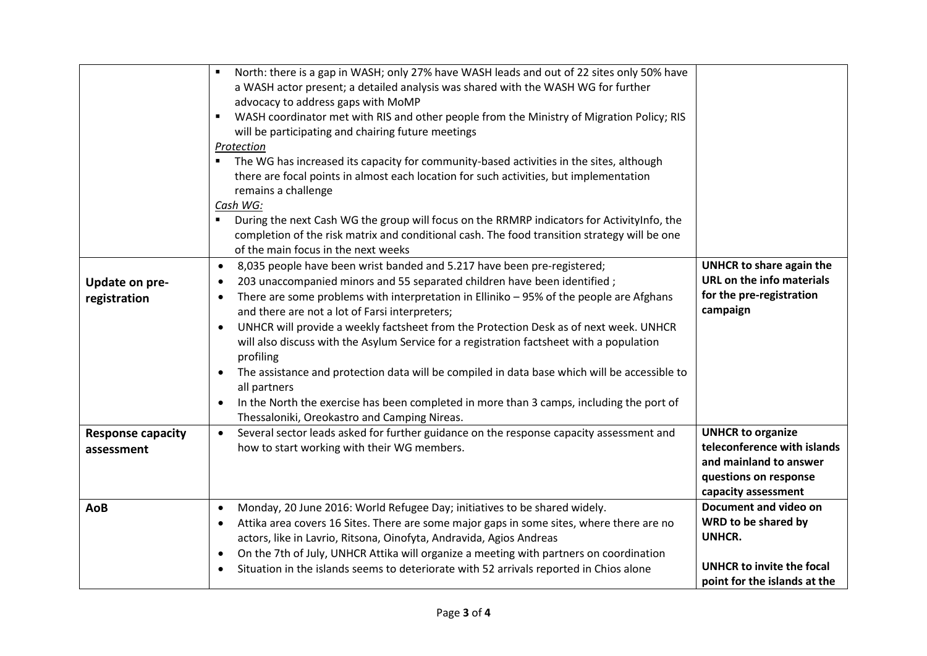|                                        | North: there is a gap in WASH; only 27% have WASH leads and out of 22 sites only 50% have<br>$\blacksquare$<br>a WASH actor present; a detailed analysis was shared with the WASH WG for further<br>advocacy to address gaps with MoMP<br>WASH coordinator met with RIS and other people from the Ministry of Migration Policy; RIS<br>$\blacksquare$<br>will be participating and chairing future meetings<br>Protection                                                                                                                                                                                                                                                                                                                                                                                               |                                                                                                                                   |
|----------------------------------------|-------------------------------------------------------------------------------------------------------------------------------------------------------------------------------------------------------------------------------------------------------------------------------------------------------------------------------------------------------------------------------------------------------------------------------------------------------------------------------------------------------------------------------------------------------------------------------------------------------------------------------------------------------------------------------------------------------------------------------------------------------------------------------------------------------------------------|-----------------------------------------------------------------------------------------------------------------------------------|
|                                        | The WG has increased its capacity for community-based activities in the sites, although<br>$\blacksquare$<br>there are focal points in almost each location for such activities, but implementation<br>remains a challenge<br>Cash WG:<br>During the next Cash WG the group will focus on the RRMRP indicators for ActivityInfo, the<br>$\blacksquare$<br>completion of the risk matrix and conditional cash. The food transition strategy will be one<br>of the main focus in the next weeks                                                                                                                                                                                                                                                                                                                           |                                                                                                                                   |
| <b>Update on pre-</b><br>registration  | 8,035 people have been wrist banded and 5.217 have been pre-registered;<br>$\bullet$<br>203 unaccompanied minors and 55 separated children have been identified;<br>$\bullet$<br>There are some problems with interpretation in Elliniko - 95% of the people are Afghans<br>٠<br>and there are not a lot of Farsi interpreters;<br>UNHCR will provide a weekly factsheet from the Protection Desk as of next week. UNHCR<br>$\bullet$<br>will also discuss with the Asylum Service for a registration factsheet with a population<br>profiling<br>The assistance and protection data will be compiled in data base which will be accessible to<br>all partners<br>In the North the exercise has been completed in more than 3 camps, including the port of<br>$\bullet$<br>Thessaloniki, Oreokastro and Camping Nireas. | UNHCR to share again the<br>URL on the info materials<br>for the pre-registration<br>campaign                                     |
| <b>Response capacity</b><br>assessment | Several sector leads asked for further guidance on the response capacity assessment and<br>$\bullet$<br>how to start working with their WG members.                                                                                                                                                                                                                                                                                                                                                                                                                                                                                                                                                                                                                                                                     | <b>UNHCR to organize</b><br>teleconference with islands<br>and mainland to answer<br>questions on response<br>capacity assessment |
| AoB                                    | Monday, 20 June 2016: World Refugee Day; initiatives to be shared widely.<br>$\bullet$<br>Attika area covers 16 Sites. There are some major gaps in some sites, where there are no<br>$\bullet$<br>actors, like in Lavrio, Ritsona, Oinofyta, Andravida, Agios Andreas<br>On the 7th of July, UNHCR Attika will organize a meeting with partners on coordination<br>$\bullet$<br>Situation in the islands seems to deteriorate with 52 arrivals reported in Chios alone                                                                                                                                                                                                                                                                                                                                                 | Document and video on<br>WRD to be shared by<br>UNHCR.<br><b>UNHCR to invite the focal</b><br>point for the islands at the        |